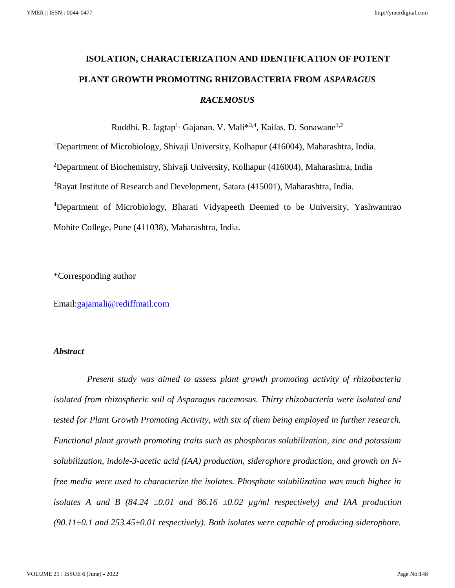# **ISOLATION, CHARACTERIZATION AND IDENTIFICATION OF POTENT PLANT GROWTH PROMOTING RHIZOBACTERIA FROM** *ASPARAGUS RACEMOSUS*

Ruddhi. R. Jagtap<sup>1,</sup> Gajanan. V. Mali<sup>\*3,4</sup>, Kailas. D. Sonawane<sup>1,2</sup>

<sup>1</sup>Department of Microbiology, Shivaji University, Kolhapur (416004), Maharashtra, India.

<sup>2</sup>Department of Biochemistry, Shivaji University, Kolhapur (416004), Maharashtra, India

<sup>3</sup>Rayat Institute of Research and Development, Satara (415001), Maharashtra, India.

<sup>4</sup>Department of Microbiology, Bharati Vidyapeeth Deemed to be University, Yashwantrao Mohite College, Pune (411038), Maharashtra, India.

\*Corresponding author

Email[:gajamali@rediffmail.com](mailto:gajamali@rediffmail.com)

#### *Abstract*

 *Present study was aimed to assess plant growth promoting activity of rhizobacteria isolated from rhizospheric soil of Asparagus racemosus. Thirty rhizobacteria were isolated and tested for Plant Growth Promoting Activity, with six of them being employed in further research. Functional plant growth promoting traits such as phosphorus solubilization, zinc and potassium solubilization, indole-3-acetic acid (IAA) production, siderophore production, and growth on Nfree media were used to characterize the isolates. Phosphate solubilization was much higher in isolates A and B (84.24 ±0.01 and 86.16 ±0.02 µg/ml respectively) and IAA production (90.11±0.1 and 253.45±0.01 respectively). Both isolates were capable of producing siderophore.*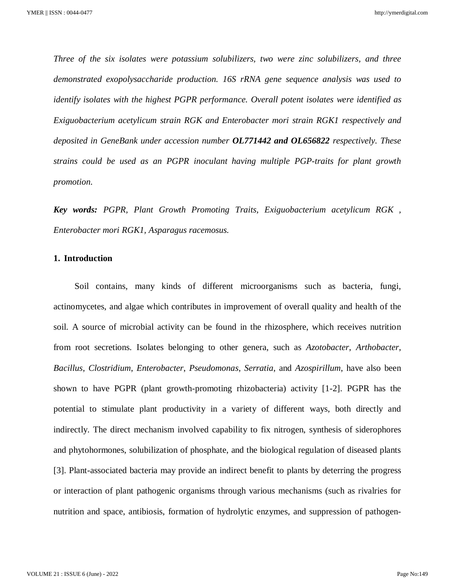*Three of the six isolates were potassium solubilizers, two were zinc solubilizers, and three demonstrated exopolysaccharide production. 16S rRNA gene sequence analysis was used to identify isolates with the highest PGPR performance. Overall potent isolates were identified as Exiguobacterium acetylicum strain RGK and Enterobacter mori strain RGK1 respectively and deposited in GeneBank under accession number OL771442 and OL656822 respectively. These strains could be used as an PGPR inoculant having multiple PGP-traits for plant growth promotion.* 

*Key words: PGPR, Plant Growth Promoting Traits, Exiguobacterium acetylicum RGK , Enterobacter mori RGK1, Asparagus racemosus.*

#### **1. Introduction**

Soil contains, many kinds of different microorganisms such as bacteria, fungi, actinomycetes, and algae which contributes in improvement of overall quality and health of the soil. A source of microbial activity can be found in the rhizosphere, which receives nutrition from root secretions. Isolates belonging to other genera, such as *Azotobacter*, *Arthobacter*, *Bacillus*, *Clostridium*, *Enterobacter*, *Pseudomonas*, *Serratia*, and *Azospirillum*, have also been shown to have PGPR (plant growth-promoting rhizobacteria) activity [1-2]. PGPR has the potential to stimulate plant productivity in a variety of different ways, both directly and indirectly. The direct mechanism involved capability to fix nitrogen, synthesis of siderophores and phytohormones, solubilization of phosphate, and the biological regulation of diseased plants [3]. Plant-associated bacteria may provide an indirect benefit to plants by deterring the progress or interaction of plant pathogenic organisms through various mechanisms (such as rivalries for nutrition and space, antibiosis, formation of hydrolytic enzymes, and suppression of pathogen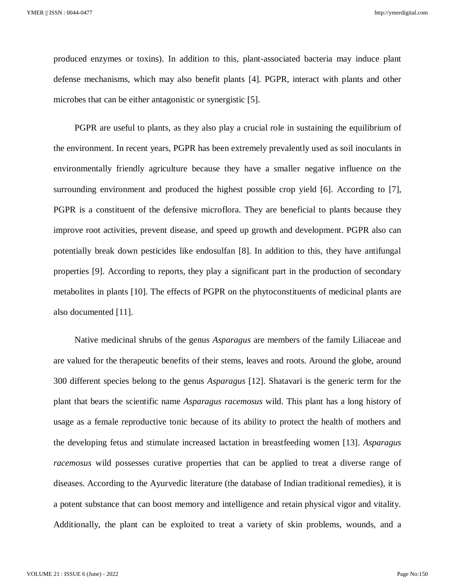produced enzymes or toxins). In addition to this, plant-associated bacteria may induce plant defense mechanisms, which may also benefit plants [4]. PGPR, interact with plants and other microbes that can be either antagonistic or synergistic [5].

PGPR are useful to plants, as they also play a crucial role in sustaining the equilibrium of the environment. In recent years, PGPR has been extremely prevalently used as soil inoculants in environmentally friendly agriculture because they have a smaller negative influence on the surrounding environment and produced the highest possible crop yield [6]. According to [7], PGPR is a constituent of the defensive microflora. They are beneficial to plants because they improve root activities, prevent disease, and speed up growth and development. PGPR also can potentially break down pesticides like endosulfan [8]. In addition to this, they have antifungal properties [9]. According to reports, they play a significant part in the production of secondary metabolites in plants [10]. The effects of PGPR on the phytoconstituents of medicinal plants are also documented [11].

Native medicinal shrubs of the genus *Asparagus* are members of the family Liliaceae and are valued for the therapeutic benefits of their stems, leaves and roots. Around the globe, around 300 different species belong to the genus *Asparagus* [12]. Shatavari is the generic term for the plant that bears the scientific name *Asparagus racemosus* wild. This plant has a long history of usage as a female reproductive tonic because of its ability to protect the health of mothers and the developing fetus and stimulate increased lactation in breastfeeding women [13]. *Asparagus racemosus* wild possesses curative properties that can be applied to treat a diverse range of diseases. According to the Ayurvedic literature (the database of Indian traditional remedies), it is a potent substance that can boost memory and intelligence and retain physical vigor and vitality. Additionally, the plant can be exploited to treat a variety of skin problems, wounds, and a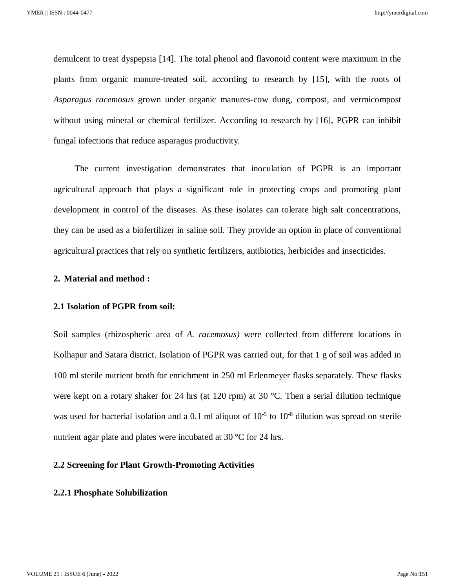demulcent to treat dyspepsia [14]. The total phenol and flavonoid content were maximum in the plants from organic manure-treated soil, according to research by [15], with the roots of *Asparagus racemosus* grown under organic manures-cow dung, compost, and vermicompost without using mineral or chemical fertilizer. According to research by [16], PGPR can inhibit fungal infections that reduce asparagus productivity.

The current investigation demonstrates that inoculation of PGPR is an important agricultural approach that plays a significant role in protecting crops and promoting plant development in control of the diseases. As these isolates can tolerate high salt concentrations, they can be used as a biofertilizer in saline soil. They provide an option in place of conventional agricultural practices that rely on synthetic fertilizers, antibiotics, herbicides and insecticides.

#### **2. Material and method :**

#### **2.1 Isolation of PGPR from soil:**

Soil samples (rhizospheric area of *A. racemosus)* were collected from different locations in Kolhapur and Satara district. Isolation of PGPR was carried out, for that 1 g of soil was added in 100 ml sterile nutrient broth for enrichment in 250 ml Erlenmeyer flasks separately. These flasks were kept on a rotary shaker for 24 hrs (at 120 rpm) at 30 °C. Then a serial dilution technique was used for bacterial isolation and a 0.1 ml aliquot of  $10^{-5}$  to  $10^{-8}$  dilution was spread on sterile nutrient agar plate and plates were incubated at 30 °C for 24 hrs.

#### **2.2 Screening for Plant Growth-Promoting Activities**

#### **2.2.1 Phosphate Solubilization**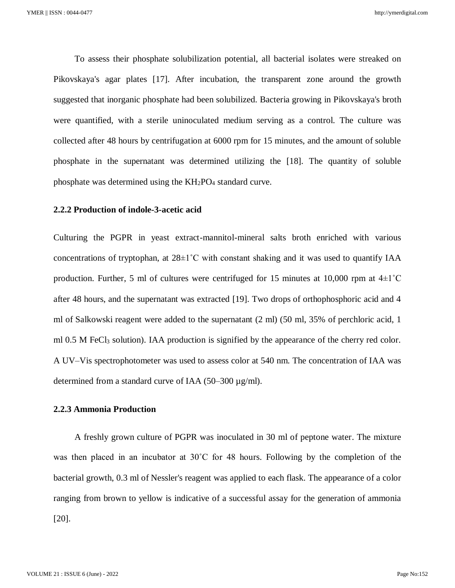To assess their phosphate solubilization potential, all bacterial isolates were streaked on Pikovskaya's agar plates [17]. After incubation, the transparent zone around the growth suggested that inorganic phosphate had been solubilized. Bacteria growing in Pikovskaya's broth were quantified, with a sterile uninoculated medium serving as a control. The culture was collected after 48 hours by centrifugation at 6000 rpm for 15 minutes, and the amount of soluble phosphate in the supernatant was determined utilizing the [18]. The quantity of soluble phosphate was determined using the  $KH_2PO_4$  standard curve.

#### **2.2.2 Production of indole-3-acetic acid**

Culturing the PGPR in yeast extract-mannitol-mineral salts broth enriched with various concentrations of tryptophan, at  $28\pm1^{\circ}$ C with constant shaking and it was used to quantify IAA production. Further, 5 ml of cultures were centrifuged for 15 minutes at 10,000 rpm at  $4\pm1^{\circ}$ C after 48 hours, and the supernatant was extracted [19]. Two drops of orthophosphoric acid and 4 ml of Salkowski reagent were added to the supernatant (2 ml) (50 ml, 35% of perchloric acid, 1 ml 0.5 M FeCl<sub>3</sub> solution). IAA production is signified by the appearance of the cherry red color. A UV–Vis spectrophotometer was used to assess color at 540 nm. The concentration of IAA was determined from a standard curve of IAA (50–300 µg/ml).

#### **2.2.3 Ammonia Production**

A freshly grown culture of PGPR was inoculated in 30 ml of peptone water. The mixture was then placed in an incubator at 30˚C for 48 hours. Following by the completion of the bacterial growth, 0.3 ml of Nessler's reagent was applied to each flask. The appearance of a color ranging from brown to yellow is indicative of a successful assay for the generation of ammonia [20].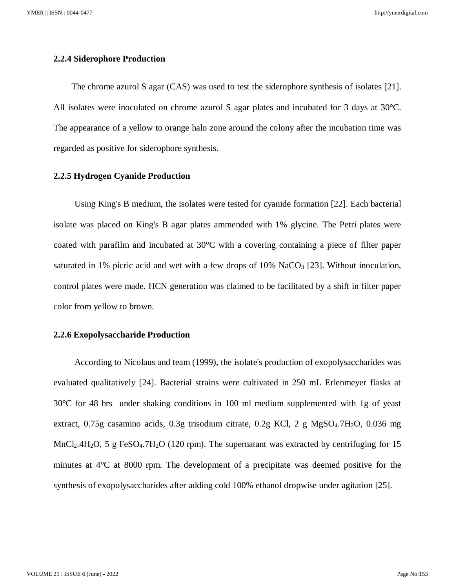YMER || ISSN : 0044-0477

http://ymerdigital.com

#### **2.2.4 Siderophore Production**

 The chrome azurol S agar (CAS) was used to test the siderophore synthesis of isolates [21]. All isolates were inoculated on chrome azurol S agar plates and incubated for 3 days at 30°C. The appearance of a yellow to orange halo zone around the colony after the incubation time was regarded as positive for siderophore synthesis.

#### **2.2.5 Hydrogen Cyanide Production**

Using King's B medium, the isolates were tested for cyanide formation [22]. Each bacterial isolate was placed on King's B agar plates ammended with 1% glycine. The Petri plates were coated with parafilm and incubated at 30°C with a covering containing a piece of filter paper saturated in 1% picric acid and wet with a few drops of  $10\%$  NaCO<sub>3</sub> [23]. Without inoculation, control plates were made. HCN generation was claimed to be facilitated by a shift in filter paper color from yellow to brown.

#### **2.2.6 Exopolysaccharide Production**

According to Nicolaus and team (1999), the isolate's production of exopolysaccharides was evaluated qualitatively [24]. Bacterial strains were cultivated in 250 mL Erlenmeyer flasks at 30°C for 48 hrs under shaking conditions in 100 ml medium supplemented with 1g of yeast extract, 0.75g casamino acids, 0.3g trisodium citrate, 0.2g KCl, 2 g MgSO4.7H2O, 0.036 mg MnCl<sub>2</sub>.4H<sub>2</sub>O, 5 g FeSO<sub>4</sub>.7H<sub>2</sub>O (120 rpm). The supernatant was extracted by centrifuging for 15 minutes at 4°C at 8000 rpm. The development of a precipitate was deemed positive for the synthesis of exopolysaccharides after adding cold 100% ethanol dropwise under agitation [25].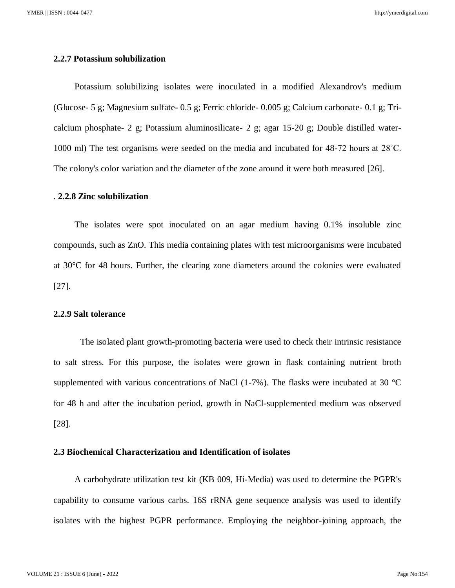#### **2.2.7 Potassium solubilization**

Potassium solubilizing isolates were inoculated in a modified Alexandrov's medium (Glucose- 5 g; Magnesium sulfate- 0.5 g; Ferric chloride- 0.005 g; Calcium carbonate- 0.1 g; Tricalcium phosphate- 2 g; Potassium aluminosilicate- 2 g; agar 15-20 g; Double distilled water-1000 ml) The test organisms were seeded on the media and incubated for 48-72 hours at 28˚C. The colony's color variation and the diameter of the zone around it were both measured [26].

#### . **2.2.8 Zinc solubilization**

The isolates were spot inoculated on an agar medium having 0.1% insoluble zinc compounds, such as ZnO. This media containing plates with test microorganisms were incubated at 30°C for 48 hours. Further, the clearing zone diameters around the colonies were evaluated [27].

#### **2.2.9 Salt tolerance**

The isolated plant growth-promoting bacteria were used to check their intrinsic resistance to salt stress. For this purpose, the isolates were grown in flask containing nutrient broth supplemented with various concentrations of NaCl  $(1-7%)$ . The flasks were incubated at 30 °C for 48 h and after the incubation period, growth in NaCl-supplemented medium was observed [28].

#### **2.3 Biochemical Characterization and Identification of isolates**

A carbohydrate utilization test kit (KB 009, Hi-Media) was used to determine the PGPR's capability to consume various carbs. 16S rRNA gene sequence analysis was used to identify isolates with the highest PGPR performance. Employing the neighbor-joining approach, the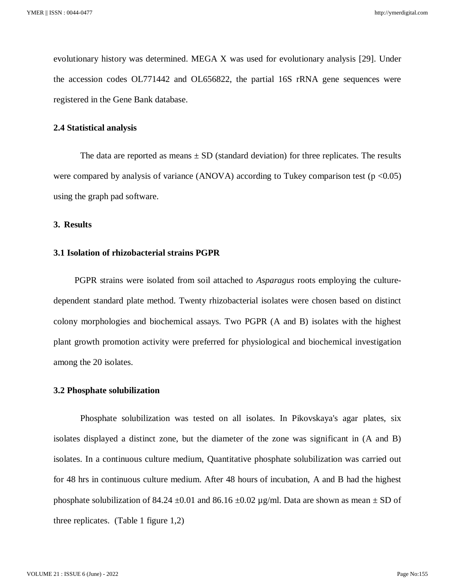evolutionary history was determined. MEGA X was used for evolutionary analysis [29]. Under the accession codes OL771442 and OL656822, the partial 16S rRNA gene sequences were registered in the Gene Bank database.

#### **2.4 Statistical analysis**

The data are reported as means  $\pm$  SD (standard deviation) for three replicates. The results were compared by analysis of variance (ANOVA) according to Tukey comparison test ( $p \le 0.05$ ) using the graph pad software.

#### **3. Results**

#### **3.1 Isolation of rhizobacterial strains PGPR**

PGPR strains were isolated from soil attached to *Asparagus* roots employing the culturedependent standard plate method. Twenty rhizobacterial isolates were chosen based on distinct colony morphologies and biochemical assays. Two PGPR (A and B) isolates with the highest plant growth promotion activity were preferred for physiological and biochemical investigation among the 20 isolates.

#### **3.2 Phosphate solubilization**

Phosphate solubilization was tested on all isolates. In Pikovskaya's agar plates, six isolates displayed a distinct zone, but the diameter of the zone was significant in (A and B) isolates. In a continuous culture medium, Quantitative phosphate solubilization was carried out for 48 hrs in continuous culture medium. After 48 hours of incubation, A and B had the highest phosphate solubilization of 84.24  $\pm$ 0.01 and 86.16  $\pm$ 0.02 µg/ml. Data are shown as mean  $\pm$  SD of three replicates. (Table 1 figure 1,2)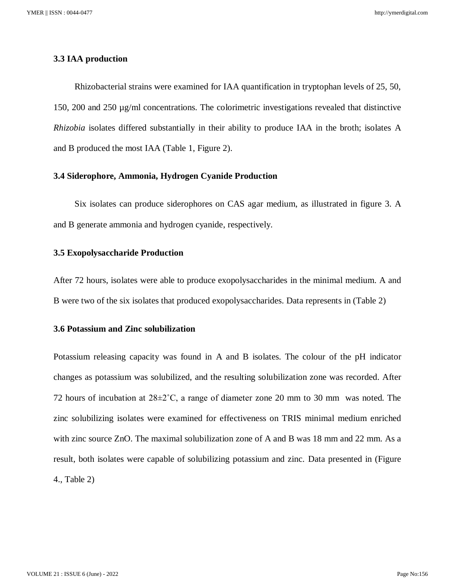#### **3.3 IAA production**

Rhizobacterial strains were examined for IAA quantification in tryptophan levels of 25, 50, 150, 200 and 250 µg/ml concentrations. The colorimetric investigations revealed that distinctive *Rhizobia* isolates differed substantially in their ability to produce IAA in the broth; isolates A and B produced the most IAA (Table 1, Figure 2).

#### **3.4 Siderophore, Ammonia, Hydrogen Cyanide Production**

Six isolates can produce siderophores on CAS agar medium, as illustrated in figure 3. A and B generate ammonia and hydrogen cyanide, respectively.

#### **3.5 Exopolysaccharide Production**

After 72 hours, isolates were able to produce exopolysaccharides in the minimal medium. A and B were two of the six isolates that produced exopolysaccharides. Data represents in (Table 2)

#### **3.6 Potassium and Zinc solubilization**

Potassium releasing capacity was found in A and B isolates. The colour of the pH indicator changes as potassium was solubilized, and the resulting solubilization zone was recorded. After 72 hours of incubation at  $28\pm2^{\circ}$ C, a range of diameter zone 20 mm to 30 mm was noted. The zinc solubilizing isolates were examined for effectiveness on TRIS minimal medium enriched with zinc source ZnO. The maximal solubilization zone of A and B was 18 mm and 22 mm. As a result, both isolates were capable of solubilizing potassium and zinc. Data presented in (Figure 4., Table 2)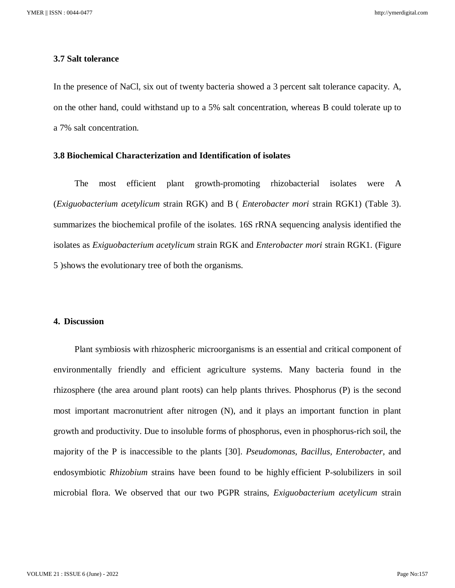#### **3.7 Salt tolerance**

In the presence of NaCl, six out of twenty bacteria showed a 3 percent salt tolerance capacity. A, on the other hand, could withstand up to a 5% salt concentration, whereas B could tolerate up to a 7% salt concentration.

#### **3.8 Biochemical Characterization and Identification of isolates**

The most efficient plant growth-promoting rhizobacterial isolates were A (*Exiguobacterium acetylicum* strain RGK) and B ( *Enterobacter mori* strain RGK1) (Table 3). summarizes the biochemical profile of the isolates. 16S rRNA sequencing analysis identified the isolates as *Exiguobacterium acetylicum* strain RGK and *Enterobacter mori* strain RGK1. (Figure 5 )shows the evolutionary tree of both the organisms.

#### **4. Discussion**

Plant symbiosis with rhizospheric microorganisms is an essential and critical component of environmentally friendly and efficient agriculture systems. Many bacteria found in the rhizosphere (the area around plant roots) can help plants thrives. Phosphorus (P) is the second most important macronutrient after nitrogen (N), and it plays an important function in plant growth and productivity. Due to insoluble forms of phosphorus, even in phosphorus-rich soil, the majority of the P is inaccessible to the plants [30]. *Pseudomonas, Bacillus, Enterobacter*, and endosymbiotic *Rhizobium* strains have been found to be highly efficient P-solubilizers in soil microbial flora. We observed that our two PGPR strains, *Exiguobacterium acetylicum* strain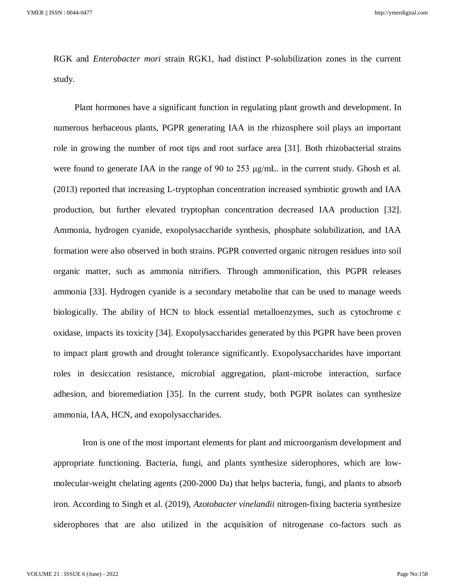RGK and *Enterobacter mori* strain RGK1, had distinct P-solubilization zones in the current study.

Plant hormones have a significant function in regulating plant growth and development. In numerous herbaceous plants, PGPR generating IAA in the rhizosphere soil plays an important role in growing the number of root tips and root surface area [31]. Both rhizobacterial strains were found to generate IAA in the range of 90 to 253 μg/mL. in the current study. Ghosh et al. (2013) reported that increasing L-tryptophan concentration increased symbiotic growth and IAA production, but further elevated tryptophan concentration decreased IAA production [32]. Ammonia, hydrogen cyanide, exopolysaccharide synthesis, phosphate solubilization, and IAA formation were also observed in both strains. PGPR converted organic nitrogen residues into soil organic matter, such as ammonia nitrifiers. Through ammonification, this PGPR releases ammonia [33]. Hydrogen cyanide is a secondary metabolite that can be used to manage weeds biologically. The ability of HCN to block essential metalloenzymes, such as cytochrome c oxidase, impacts its toxicity [34]. Exopolysaccharides generated by this PGPR have been proven to impact plant growth and drought tolerance significantly. Exopolysaccharides have important roles in desiccation resistance, microbial aggregation, plant-microbe interaction, surface adhesion, and bioremediation [35]. In the current study, both PGPR isolates can synthesize ammonia, IAA, HCN, and exopolysaccharides.

 Iron is one of the most important elements for plant and microorganism development and appropriate functioning. Bacteria, fungi, and plants synthesize siderophores, which are lowmolecular-weight chelating agents (200-2000 Da) that helps bacteria, fungi, and plants to absorb iron. According to Singh et al. (2019), *Azotobacter vinelandii* nitrogen-fixing bacteria synthesize siderophores that are also utilized in the acquisition of nitrogenase co-factors such as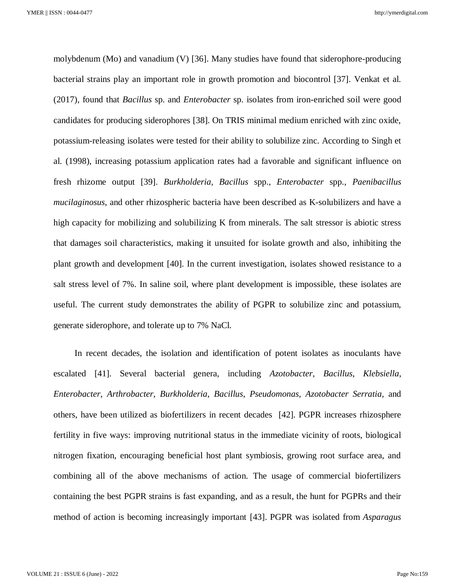molybdenum (Mo) and vanadium (V) [36]. Many studies have found that siderophore-producing bacterial strains play an important role in growth promotion and biocontrol [37]. Venkat et al. (2017), found that *Bacillus* sp. and *Enterobacter* sp. isolates from iron-enriched soil were good candidates for producing siderophores [38]. On TRIS minimal medium enriched with zinc oxide, potassium-releasing isolates were tested for their ability to solubilize zinc. According to Singh et al. (1998), increasing potassium application rates had a favorable and significant influence on fresh rhizome output [39]. *Burkholderia*, *Bacillus* spp., *Enterobacter* spp., *Paenibacillus mucilaginosus*, and other rhizospheric bacteria have been described as K-solubilizers and have a high capacity for mobilizing and solubilizing K from minerals. The salt stressor is abiotic stress that damages soil characteristics, making it unsuited for isolate growth and also, inhibiting the plant growth and development [40]. In the current investigation, isolates showed resistance to a salt stress level of 7%. In saline soil, where plant development is impossible, these isolates are useful. The current study demonstrates the ability of PGPR to solubilize zinc and potassium, generate siderophore, and tolerate up to 7% NaCl.

In recent decades, the isolation and identification of potent isolates as inoculants have escalated [41]. Several bacterial genera, including *Azotobacter*, *Bacillus*, *Klebsiella*, *Enterobacter*, *Arthrobacter*, *Burkholderia*, *Bacillus*, *Pseudomonas*, *Azotobacter Serratia*, and others, have been utilized as biofertilizers in recent decades [42]. PGPR increases rhizosphere fertility in five ways: improving nutritional status in the immediate vicinity of roots, biological nitrogen fixation, encouraging beneficial host plant symbiosis, growing root surface area, and combining all of the above mechanisms of action. The usage of commercial biofertilizers containing the best PGPR strains is fast expanding, and as a result, the hunt for PGPRs and their method of action is becoming increasingly important [43]. PGPR was isolated from *Asparagus*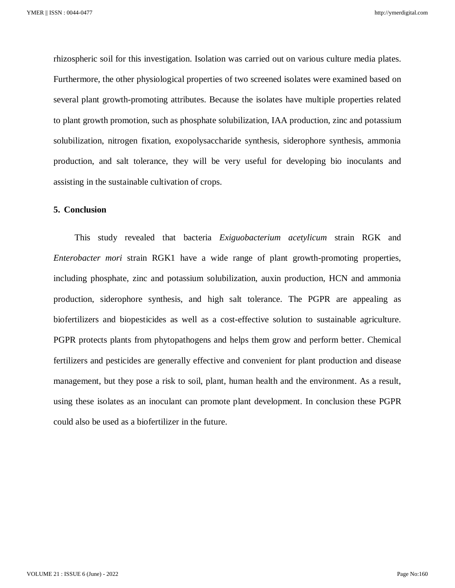rhizospheric soil for this investigation. Isolation was carried out on various culture media plates. Furthermore, the other physiological properties of two screened isolates were examined based on several plant growth-promoting attributes. Because the isolates have multiple properties related to plant growth promotion, such as phosphate solubilization, IAA production, zinc and potassium solubilization, nitrogen fixation, exopolysaccharide synthesis, siderophore synthesis, ammonia production, and salt tolerance, they will be very useful for developing bio inoculants and assisting in the sustainable cultivation of crops.

#### **5. Conclusion**

This study revealed that bacteria *Exiguobacterium acetylicum* strain RGK and *Enterobacter mori* strain RGK1 have a wide range of plant growth-promoting properties, including phosphate, zinc and potassium solubilization, auxin production, HCN and ammonia production, siderophore synthesis, and high salt tolerance. The PGPR are appealing as biofertilizers and biopesticides as well as a cost-effective solution to sustainable agriculture. PGPR protects plants from phytopathogens and helps them grow and perform better. Chemical fertilizers and pesticides are generally effective and convenient for plant production and disease management, but they pose a risk to soil, plant, human health and the environment. As a result, using these isolates as an inoculant can promote plant development. In conclusion these PGPR could also be used as a biofertilizer in the future.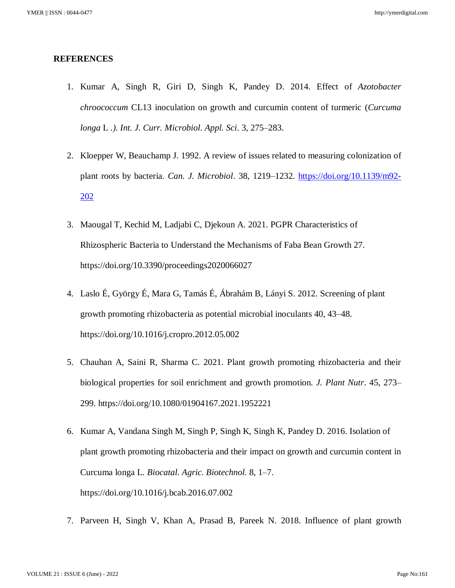#### **REFERENCES**

- 1. Kumar A, Singh R, Giri D, Singh K, Pandey D. 2014. Effect of *Azotobacter chroococcum* CL13 inoculation on growth and curcumin content of turmeric (*Curcuma longa* L *.). Int. J. Curr. Microbiol. Appl. Sci*. 3, 275–283.
- 2. Kloepper W, Beauchamp J. 1992. A review of issues related to measuring colonization of plant roots by bacteria. *Can. J. Microbiol*. 38, 1219–1232. [https://doi.org/10.1139/m92-](https://doi.org/10.1139/m92-202) [202](https://doi.org/10.1139/m92-202)
- 3. Maougal T, Kechid M, Ladjabi C, Djekoun A. 2021. PGPR Characteristics of Rhizospheric Bacteria to Understand the Mechanisms of Faba Bean Growth 27. https://doi.org/10.3390/proceedings2020066027
- 4. Laslo É, György É, Mara G, Tamás É, Ábrahám B, Lányi S. 2012. Screening of plant growth promoting rhizobacteria as potential microbial inoculants 40, 43–48. https://doi.org/10.1016/j.cropro.2012.05.002
- 5. Chauhan A, Saini R, Sharma C. 2021. Plant growth promoting rhizobacteria and their biological properties for soil enrichment and growth promotion. *J. Plant Nutr*. 45, 273– 299. https://doi.org/10.1080/01904167.2021.1952221
- 6. Kumar A, Vandana Singh M, Singh P, Singh K, Singh K, Pandey D. 2016. Isolation of plant growth promoting rhizobacteria and their impact on growth and curcumin content in Curcuma longa L. *Biocatal. Agric. Biotechnol.* 8, 1–7. https://doi.org/10.1016/j.bcab.2016.07.002
- 7. Parveen H, Singh V, Khan A, Prasad B, Pareek N. 2018. Influence of plant growth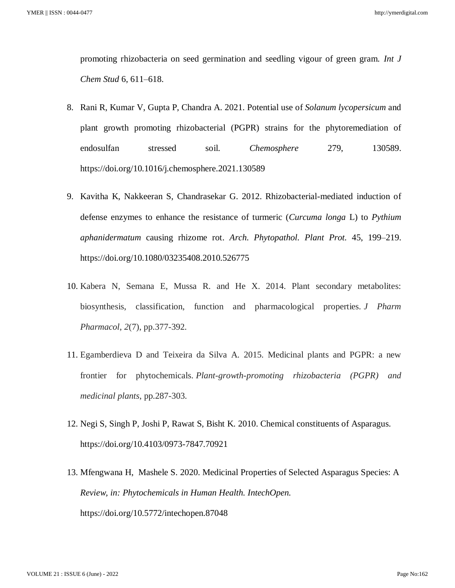promoting rhizobacteria on seed germination and seedling vigour of green gram. *Int J Chem Stud* 6, 611–618.

- 8. Rani R, Kumar V, Gupta P, Chandra A. 2021. Potential use of *Solanum lycopersicum* and plant growth promoting rhizobacterial (PGPR) strains for the phytoremediation of endosulfan stressed soil. *Chemosphere* 279, 130589. https://doi.org/10.1016/j.chemosphere.2021.130589
- 9. Kavitha K, Nakkeeran S, Chandrasekar G. 2012. Rhizobacterial-mediated induction of defense enzymes to enhance the resistance of turmeric (*Curcuma longa* L) to *Pythium aphanidermatum* causing rhizome rot. *Arch. Phytopathol. Plant Prot.* 45, 199–219. https://doi.org/10.1080/03235408.2010.526775
- 10. Kabera N, Semana E, Mussa R. and He X. 2014. Plant secondary metabolites: biosynthesis, classification, function and pharmacological properties. *J Pharm Pharmacol*, *2*(7), pp.377-392.
- 11. Egamberdieva D and Teixeira da Silva A. 2015. Medicinal plants and PGPR: a new frontier for phytochemicals. *Plant-growth-promoting rhizobacteria (PGPR) and medicinal plants*, pp.287-303.
- 12. Negi S, Singh P, Joshi P, Rawat S, Bisht K. 2010. Chemical constituents of Asparagus. https://doi.org/10.4103/0973-7847.70921
- 13. Mfengwana H, Mashele S. 2020. Medicinal Properties of Selected Asparagus Species: A *Review, in: Phytochemicals in Human Health. IntechOpen.*  https://doi.org/10.5772/intechopen.87048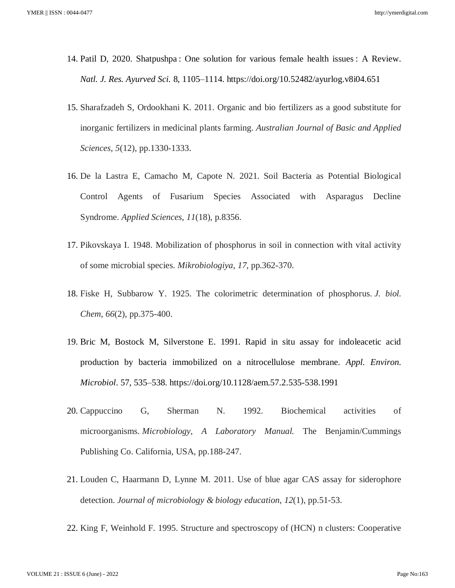- 14. Patil D, 2020. Shatpushpa : One solution for various female health issues : A Review. *Natl. J. Res. Ayurved Sci.* 8, 1105–1114. https://doi.org/10.52482/ayurlog.v8i04.651
- 15. Sharafzadeh S, Ordookhani K. 2011. Organic and bio fertilizers as a good substitute for inorganic fertilizers in medicinal plants farming. *Australian Journal of Basic and Applied Sciences*, *5*(12), pp.1330-1333.
- 16. De la Lastra E, Camacho M, Capote N. 2021. Soil Bacteria as Potential Biological Control Agents of Fusarium Species Associated with Asparagus Decline Syndrome. *Applied Sciences*, *11*(18), p.8356.
- 17. Pikovskaya I. 1948. Mobilization of phosphorus in soil in connection with vital activity of some microbial species. *Mikrobiologiya*, *17*, pp.362-370.
- 18. Fiske H, Subbarow Y. 1925. The colorimetric determination of phosphorus. *J. biol. Chem*, *66*(2), pp.375-400.
- 19. Bric M, Bostock M, Silverstone E. 1991. Rapid in situ assay for indoleacetic acid production by bacteria immobilized on a nitrocellulose membrane. *Appl. Environ. Microbiol*. 57, 535–538. https://doi.org/10.1128/aem.57.2.535-538.1991
- 20. Cappuccino G, Sherman N. 1992. Biochemical activities of microorganisms. *Microbiology, A Laboratory Manual.* The Benjamin/Cummings Publishing Co. California, USA, pp.188-247.
- 21. Louden C, Haarmann D, Lynne M. 2011. Use of blue agar CAS assay for siderophore detection. *Journal of microbiology & biology education*, *12*(1), pp.51-53.
- 22. King F, Weinhold F. 1995. Structure and spectroscopy of (HCN) n clusters: Cooperative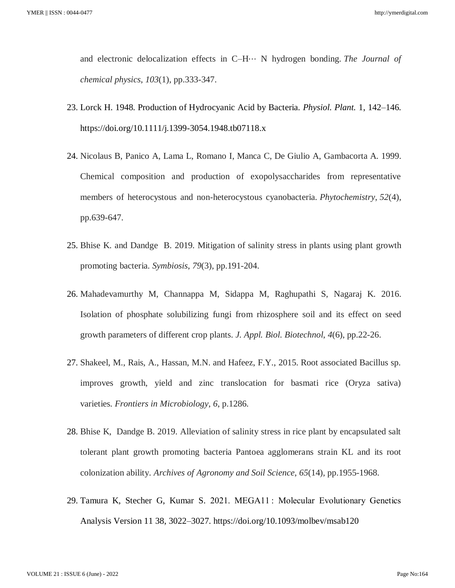and electronic delocalization effects in C–H⋅⋅⋅ N hydrogen bonding. *The Journal of chemical physics*, *103*(1), pp.333-347.

- 23. Lorck H. 1948. Production of Hydrocyanic Acid by Bacteria. *Physiol. Plant.* 1, 142–146. https://doi.org/10.1111/j.1399-3054.1948.tb07118.x
- 24. Nicolaus B, Panico A, Lama L, Romano I, Manca C, De Giulio A, Gambacorta A. 1999. Chemical composition and production of exopolysaccharides from representative members of heterocystous and non-heterocystous cyanobacteria. *Phytochemistry*, *52*(4), pp.639-647.
- 25. Bhise K. and Dandge B. 2019. Mitigation of salinity stress in plants using plant growth promoting bacteria. *Symbiosis*, *79*(3), pp.191-204.
- 26. Mahadevamurthy M, Channappa M, Sidappa M, Raghupathi S, Nagaraj K. 2016. Isolation of phosphate solubilizing fungi from rhizosphere soil and its effect on seed growth parameters of different crop plants. *J. Appl. Biol. Biotechnol*, *4*(6), pp.22-26.
- 27. Shakeel, M., Rais, A., Hassan, M.N. and Hafeez, F.Y., 2015. Root associated Bacillus sp. improves growth, yield and zinc translocation for basmati rice (Oryza sativa) varieties. *Frontiers in Microbiology*, *6*, p.1286.
- 28. Bhise K, Dandge B. 2019. Alleviation of salinity stress in rice plant by encapsulated salt tolerant plant growth promoting bacteria Pantoea agglomerans strain KL and its root colonization ability. *Archives of Agronomy and Soil Science*, *65*(14), pp.1955-1968.
- 29. Tamura K, Stecher G, Kumar S. 2021. MEGA11 : Molecular Evolutionary Genetics Analysis Version 11 38, 3022–3027. https://doi.org/10.1093/molbev/msab120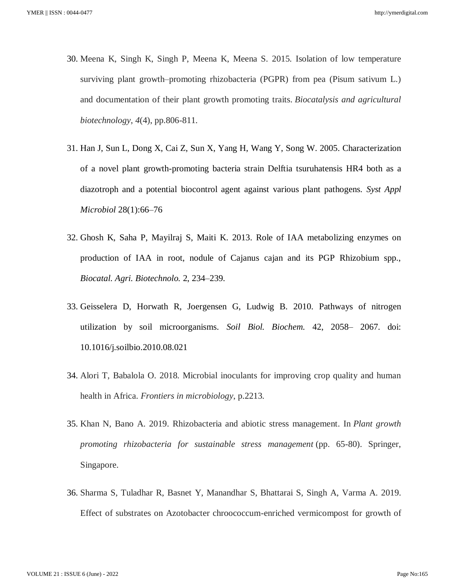- 30. Meena K, Singh K, Singh P, Meena K, Meena S. 2015. Isolation of low temperature surviving plant growth–promoting rhizobacteria (PGPR) from pea (Pisum sativum L.) and documentation of their plant growth promoting traits. *Biocatalysis and agricultural biotechnology*, *4*(4), pp.806-811.
- 31. Han J, Sun L, Dong X, Cai Z, Sun X, Yang H, Wang Y, Song W. 2005. Characterization of a novel plant growth-promoting bacteria strain Delftia tsuruhatensis HR4 both as a diazotroph and a potential biocontrol agent against various plant pathogens. *Syst Appl Microbiol* 28(1):66–76
- 32. Ghosh K, Saha P, Mayilraj S, Maiti K. 2013. Role of IAA metabolizing enzymes on production of IAA in root, nodule of Cajanus cajan and its PGP Rhizobium spp., *Biocatal. Agri. Biotechnolo.* 2, 234–239.
- 33. Geisselera D, Horwath R, Joergensen G, Ludwig B. 2010. Pathways of nitrogen utilization by soil microorganisms. *Soil Biol. Biochem.* 42, 2058– 2067. doi: 10.1016/j.soilbio.2010.08.021
- 34. Alori T, Babalola O. 2018. Microbial inoculants for improving crop quality and human health in Africa. *Frontiers in microbiology*, p.2213.
- 35. Khan N, Bano A. 2019. Rhizobacteria and abiotic stress management. In *Plant growth promoting rhizobacteria for sustainable stress management* (pp. 65-80). Springer, Singapore.
- 36. Sharma S, Tuladhar R, Basnet Y, Manandhar S, Bhattarai S, Singh A, Varma A. 2019. Effect of substrates on Azotobacter chroococcum-enriched vermicompost for growth of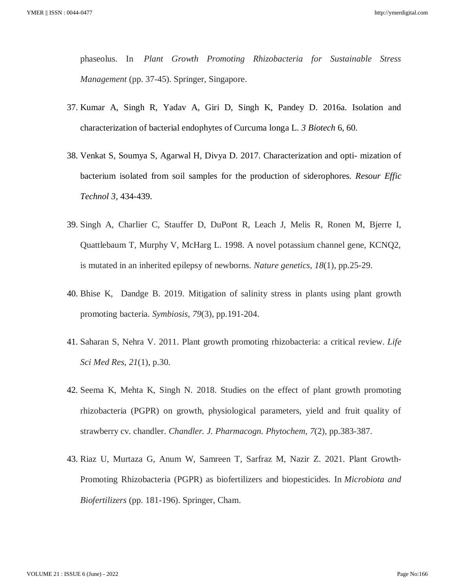phaseolus. In *Plant Growth Promoting Rhizobacteria for Sustainable Stress Management* (pp. 37-45). Springer, Singapore.

- 37. Kumar A, Singh R, Yadav A, Giri D, Singh K, Pandey D. 2016a. Isolation and characterization of bacterial endophytes of Curcuma longa L. *3 Biotech* 6, 60.
- 38. Venkat S, Soumya S, Agarwal H, Divya D. 2017. Characterization and opti- mization of bacterium isolated from soil samples for the production of siderophores. *Resour Effic Technol 3,* 434-439.
- 39. Singh A, Charlier C, Stauffer D, DuPont R, Leach J, Melis R, Ronen M, Bjerre I, Quattlebaum T, Murphy V, McHarg L. 1998. A novel potassium channel gene, KCNQ2, is mutated in an inherited epilepsy of newborns. *Nature genetics*, *18*(1), pp.25-29.
- 40. Bhise K, Dandge B. 2019. Mitigation of salinity stress in plants using plant growth promoting bacteria. *Symbiosis*, *79*(3), pp.191-204.
- 41. Saharan S, Nehra V. 2011. Plant growth promoting rhizobacteria: a critical review. *Life Sci Med Res*, *21*(1), p.30.
- 42. Seema K, Mehta K, Singh N. 2018. Studies on the effect of plant growth promoting rhizobacteria (PGPR) on growth, physiological parameters, yield and fruit quality of strawberry cv. chandler. *Chandler. J. Pharmacogn. Phytochem*, *7*(2), pp.383-387.
- 43. Riaz U, Murtaza G, Anum W, Samreen T, Sarfraz M, Nazir Z. 2021. Plant Growth-Promoting Rhizobacteria (PGPR) as biofertilizers and biopesticides. In *Microbiota and Biofertilizers* (pp. 181-196). Springer, Cham.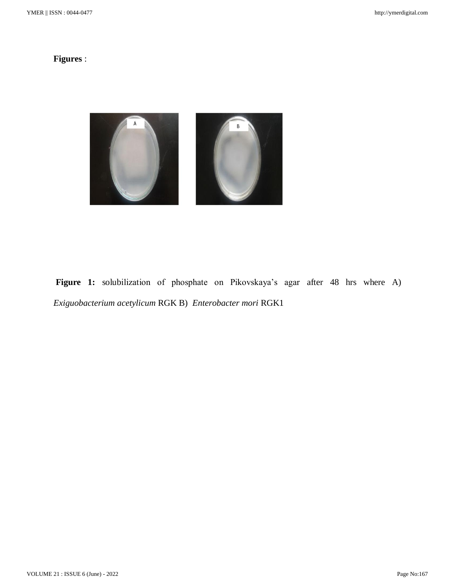## **Figures** :



**Figure 1:** solubilization of phosphate on Pikovskaya's agar after 48 hrs where A) *Exiguobacterium acetylicum* RGK B) *Enterobacter mori* RGK1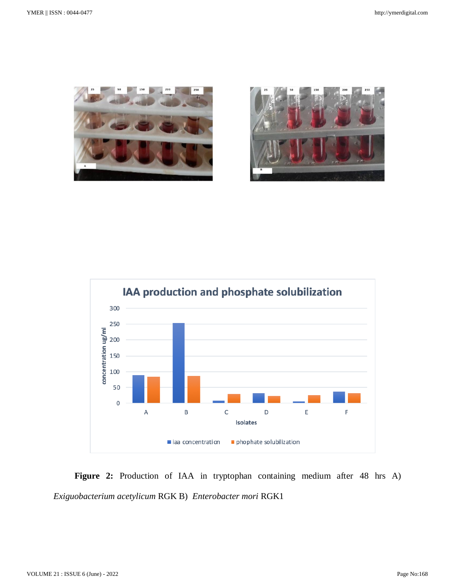





**Figure 2:** Production of IAA in tryptophan containing medium after 48 hrs A) *Exiguobacterium acetylicum* RGK B) *Enterobacter mori* RGK1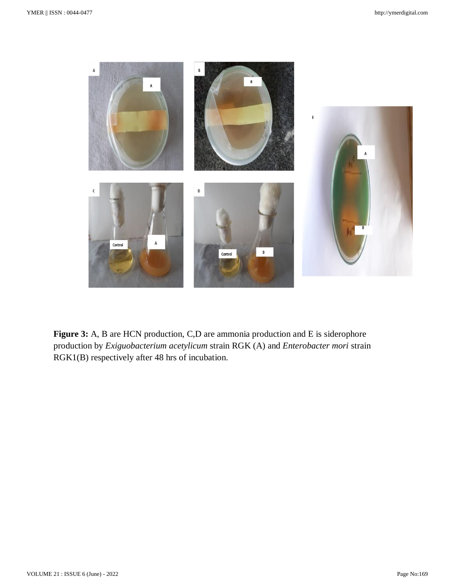

**Figure 3:** A, B are HCN production, C,D are ammonia production and E is siderophore production by *Exiguobacterium acetylicum* strain RGK (A) and *Enterobacter mori* strain RGK1(B) respectively after 48 hrs of incubation.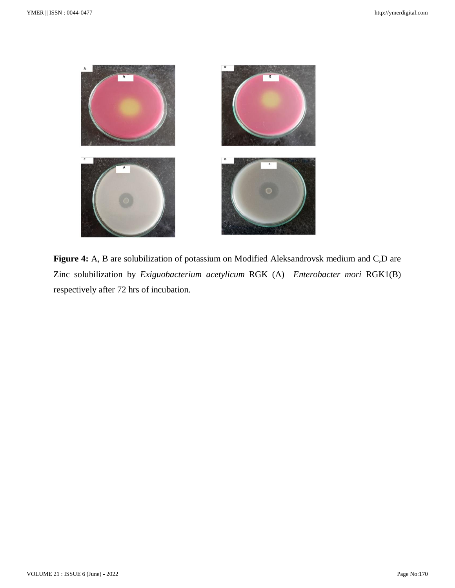

**Figure 4:** A, B are solubilization of potassium on Modified Aleksandrovsk medium and C,D are Zinc solubilization by *Exiguobacterium acetylicum* RGK (A) *Enterobacter mori* RGK1(B) respectively after 72 hrs of incubation.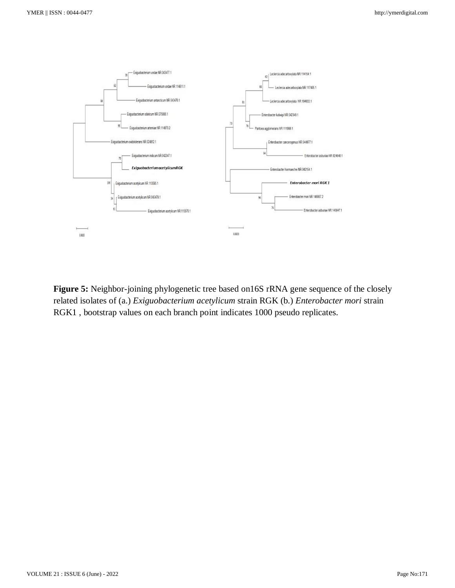

**Figure 5:** Neighbor-joining phylogenetic tree based on16S rRNA gene sequence of the closely related isolates of (a.) *Exiguobacterium acetylicum* strain RGK (b.) *Enterobacter mori* strain RGK1 , bootstrap values on each branch point indicates 1000 pseudo replicates.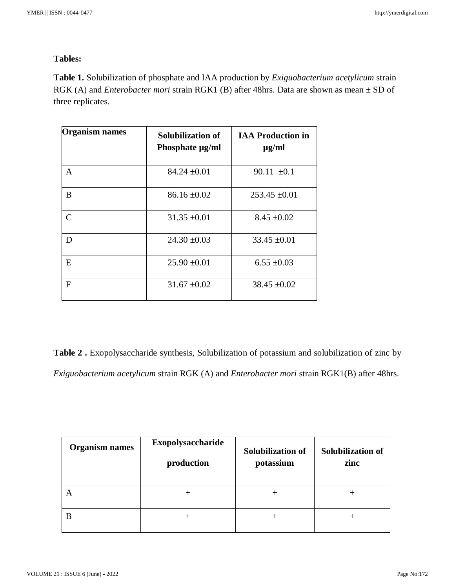### **Tables:**

**Table 1.** Solubilization of phosphate and IAA production by *Exiguobacterium acetylicum* strain RGK (A) and *Enterobacter mori* strain RGK1 (B) after 48hrs. Data are shown as mean  $\pm$  SD of three replicates.

| <b>Organism names</b> | Solubilization of<br>Phosphate µg/ml | <b>IAA Production in</b><br>$\mu$ g/ml |
|-----------------------|--------------------------------------|----------------------------------------|
| A                     | $84.24 \pm 0.01$                     | 90.11 $\pm 0.1$                        |
| B                     | $86.16 \pm 0.02$                     | $253.45 \pm 0.01$                      |
| $\mathcal{C}$         | $31.35 \pm 0.01$                     | $8.45 \pm 0.02$                        |
| D                     | $24.30 \pm 0.03$                     | $33.45 \pm 0.01$                       |
| E                     | $25.90 \pm 0.01$                     | $6.55 \pm 0.03$                        |
| F                     | $31.67 \pm 0.02$                     | $38.45 \pm 0.02$                       |

**Table 2 .** Exopolysaccharide synthesis, Solubilization of potassium and solubilization of zinc by *Exiguobacterium acetylicum* strain RGK (A) and *Enterobacter mori* strain RGK1(B) after 48hrs.

| <b>Organism names</b> | Exopolysaccharide<br>production | Solubilization of<br>potassium | Solubilization of<br>zinc |
|-----------------------|---------------------------------|--------------------------------|---------------------------|
|                       |                                 |                                |                           |
|                       |                                 |                                |                           |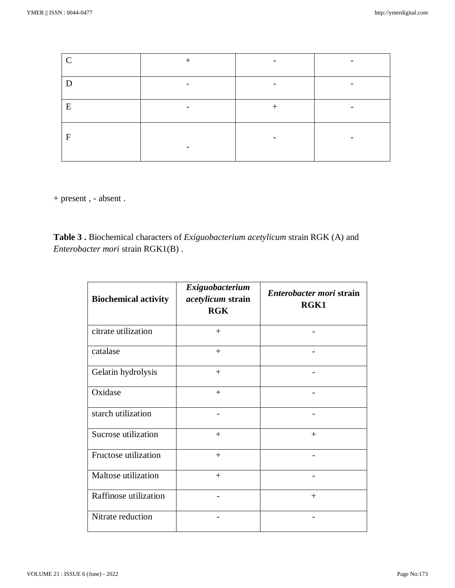| $\mathbf C$  |   |  |
|--------------|---|--|
| Е            |   |  |
| E            | - |  |
| $\mathbf{F}$ |   |  |

+ present , - absent .

**Table 3 .** Biochemical characters of *Exiguobacterium acetylicum* strain RGK (A) and *Enterobacter mori* strain RGK1(B) .

| <b>Biochemical activity</b> | Exiguobacterium<br>acetylicum strain<br><b>RGK</b> | Enterobacter mori strain<br>RGK1 |
|-----------------------------|----------------------------------------------------|----------------------------------|
| citrate utilization         | $+$                                                |                                  |
| catalase                    | $+$                                                |                                  |
| Gelatin hydrolysis          | $+$                                                |                                  |
| Oxidase                     | $^{+}$                                             |                                  |
| starch utilization          |                                                    |                                  |
| Sucrose utilization         | $+$                                                | $+$                              |
| Fructose utilization        | $+$                                                |                                  |
| Maltose utilization         | $+$                                                |                                  |
| Raffinose utilization       |                                                    | $+$                              |
| Nitrate reduction           |                                                    |                                  |